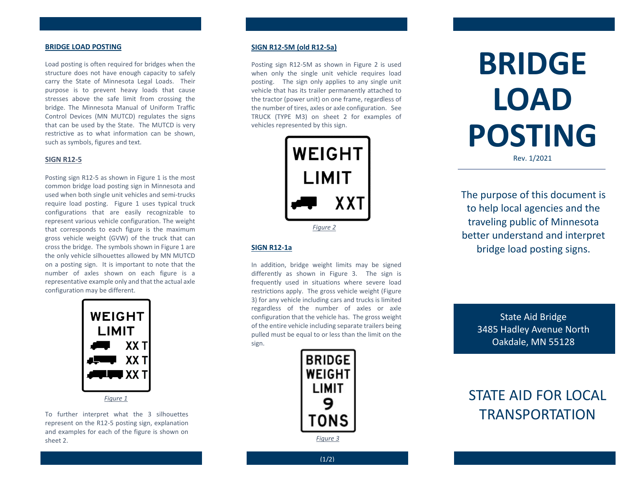#### **BRIDGE LOAD POSTING**

Load posting is often required for bridges when the structure does not have enough capacity to safely carry the State of Minnesota Legal Loads. Their purpose is to prevent heavy loads that cause stresses above the safe limit from crossing the bridge. The Minnesota Manual of Uniform Traffic Control Devices (MN MUTCD) regulates the signs that can be used by the State. The MUTCD is very restrictive as to what information can be shown, such as symbols, figures and text.

# **SIGN R12-5**

Posting sign R12-5 as shown in Figure 1 is the most common bridge load posting sign in Minnesota and used when both single unit vehicles and semi-trucks require load posting. Figure 1 uses typical truck configurations that are easily recognizable to represent various vehicle configuration. The weight that corresponds to each figure is the maximum gross vehicle weight (GVW) of the truck that can cross the bridge. The symbols shown in Figure 1 are the only vehicle silhouettes allowed by MN MUTCD on a posting sign. It is important to note that the number of axles shown on each figure is a representative example only and that the actual axle configuration may be different.



To further interpret what the 3 silhouettes represent on the R12-5 posting sign, explanation and examples for each of the figure is shown on sheet 2.

### **SIGN R12-5M (old R12-5a)**

Posting sign R12-5M as shown in Figure 2 is used when only the single unit vehicle requires load posting. The sign only applies to any single unit vehicle that has its trailer permanently attached to the tractor (power unit) on one frame, regardless of the number of tires, axles or axle configuration. See TRUCK (TYPE M3) on sheet 2 for examples of vehicles represented by this sign.



# **SIGN R12-1a**

In addition, bridge weight limits may be signed differently as shown in Figure 3. The sign is frequently used in situations where severe load restrictions apply. The gross vehicle weight (Figure 3) for any vehicle including cars and trucks is limited regardless of the number of axles or axle configuration that the vehicle has. The gross weight of the entire vehicle including separate trailers being pulled must be equal to or less than the limit on the sign.



**BRIDGE LOAD POSTING** Rev. 1/2021

The purpose of this document is to help local agencies and the traveling public of Minnesota better understand and interpret bridge load posting signs.

> State Aid Bridge 3485 Hadley Avenue North Oakdale, MN 55128

# STATE AID FOR LOCAL **TRANSPORTATION**